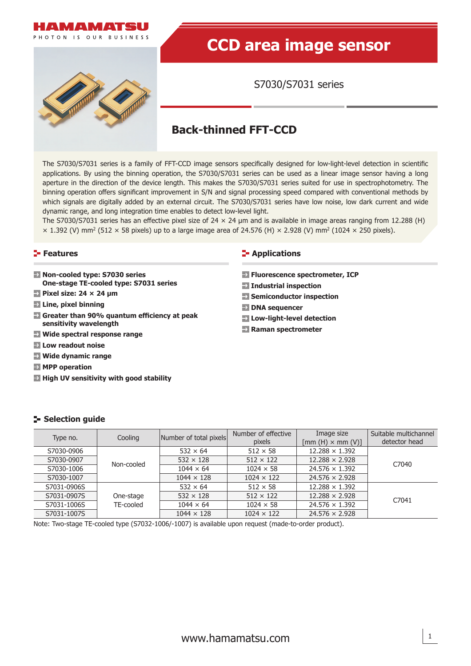

# **CCD area image sensor**

S7030/S7031 series

# **Back-thinned FFT-CCD**

The S7030/S7031 series is a family of FFT-CCD image sensors specifically designed for low-light-level detection in scientific applications. By using the binning operation, the S7030/S7031 series can be used as a linear image sensor having a long aperture in the direction of the device length. This makes the S7030/S7031 series suited for use in spectrophotometry. The binning operation offers significant improvement in S/N and signal processing speed compared with conventional methods by which signals are digitally added by an external circuit. The S7030/S7031 series have low noise, low dark current and wide dynamic range, and long integration time enables to detect low-level light.

The S7030/S7031 series has an effective pixel size of 24  $\times$  24 µm and is available in image areas ranging from 12.288 (H)  $\times$  1.392 (V) mm<sup>2</sup> (512  $\times$  58 pixels) up to a large image area of 24.576 (H)  $\times$  2.928 (V) mm<sup>2</sup> (1024  $\times$  250 pixels).

#### **Features**

- **Non-cooled type: S7030 series One-stage TE-cooled type: S7031 series**
- **Pixel size: 24 × 24 μm**
- **Line, pixel binning**
- **E** Greater than 90% quantum efficiency at peak **sensitivity wavelength**
- **Wide spectral response range**
- **Low readout noise**
- **Wide dynamic range**
- **MPP operation**
- **High UV sensitivity with good stability**

#### **E-** Applications

- **Fluorescence spectrometer, ICP**
- **Industrial inspection**
- **→ Semiconductor inspection**
- **DNA** sequencer
- **Low-light-level detection**
- **Raman spectrometer**

## **Selection guide**

| Type no.    | Cooling    | Number of total pixels | Number of effective<br>pixels | Image size<br>$[mm(H) \times mm(V)]$ | Suitable multichannel<br>detector head |
|-------------|------------|------------------------|-------------------------------|--------------------------------------|----------------------------------------|
| S7030-0906  |            | $532 \times 64$        | $512 \times 58$               | $12.288 \times 1.392$                |                                        |
| S7030-0907  |            | $532 \times 128$       | $512 \times 122$              | $12.288 \times 2.928$                | C7040                                  |
| S7030-1006  | Non-cooled | $1044 \times 64$       | $1024 \times 58$              | $24.576 \times 1.392$                |                                        |
| S7030-1007  |            | $1044 \times 128$      | $1024 \times 122$             | $24.576 \times 2.928$                |                                        |
| S7031-0906S |            | $532 \times 64$        | $512 \times 58$               | $12.288 \times 1.392$                |                                        |
| S7031-0907S | One-stage  | $532 \times 128$       | $512 \times 122$              | $12.288 \times 2.928$                | C7041                                  |
| S7031-1006S | TE-cooled  | $1044 \times 64$       | $1024 \times 58$              | $24.576 \times 1.392$                |                                        |
| S7031-1007S |            | $1044 \times 128$      | $1024 \times 122$             | $24.576 \times 2.928$                |                                        |

Note: Two-stage TE-cooled type (S7032-1006/-1007) is available upon request (made-to-order product).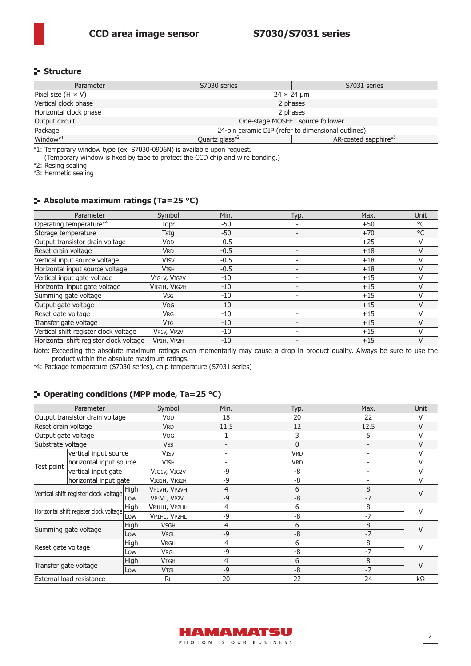# **Structure**

| Parameter                 | S7030 series                                       | S7031 series         |  |  |
|---------------------------|----------------------------------------------------|----------------------|--|--|
| Pixel size $(H \times V)$ | $24 \times 24$ µm                                  |                      |  |  |
| Vertical clock phase      | 2 phases                                           |                      |  |  |
| Horizontal clock phase    | 2 phases                                           |                      |  |  |
| Output circuit            | One-stage MOSFET source follower                   |                      |  |  |
| Package                   | 24-pin ceramic DIP (refer to dimensional outlines) |                      |  |  |
| Window $*1$               | Quartz glass <sup>*2</sup>                         | AR-coated sapphire*3 |  |  |

\*1: Temporary window type (ex. S7030-0906N) is available upon request.

(Temporary window is fixed by tape to protect the CCD chip and wire bonding.)

\*2: Resing sealing

\*3: Hermetic sealing

# **Absolute maximum ratings (Ta=25 °C)**

| Parameter                               | Symbol       | Min.   | Typ. | Max.  | Unit          |
|-----------------------------------------|--------------|--------|------|-------|---------------|
| Operating temperature*4                 | Topr         | -50    |      | $+50$ | °C            |
| Storage temperature                     | Tsta         | -50    |      | $+70$ | $^{\circ}$ C  |
| Output transistor drain voltage         | <b>VOD</b>   | $-0.5$ |      | $+25$ | V             |
| Reset drain voltage                     | <b>VRD</b>   | $-0.5$ |      | $+18$ | $\vee$        |
| Vertical input source voltage           | <b>VISV</b>  | $-0.5$ |      | $+18$ | V             |
| Horizontal input source voltage         | <b>VISH</b>  | $-0.5$ |      | $+18$ | V             |
| Vertical input gate voltage             | VIG1V, VIG2V | $-10$  |      | $+15$ | $\vee$        |
| Horizontal input gate voltage           | VIG1H, VIG2H | $-10$  |      | $+15$ | V             |
| Summing gate voltage                    | <b>Vsg</b>   | $-10$  |      | $+15$ | $\vee$        |
| Output gate voltage                     | <b>VOG</b>   | $-10$  |      | $+15$ | $\vee$        |
| Reset gate voltage                      | <b>VRG</b>   | -10    |      | $+15$ | $\vee$        |
| Transfer gate voltage                   | <b>VTG</b>   | $-10$  |      | $+15$ | V             |
| Vertical shift register clock voltage   | VP1V, VP2V   | -10    |      | $+15$ | $\mathcal{U}$ |
| Horizontal shift register clock voltage | VP1H, VP2H   | $-10$  |      | $+15$ | V             |

Note: Exceeding the absolute maximum ratings even momentarily may cause a drop in product quality. Always be sure to use the product within the absolute maximum ratings.

\*4: Package temperature (S7030 series), chip temperature (S7031 series)

# **Operating conditions (MPP mode, Ta=25 °C)**

| Parameter                             |                                         |             | Symbol       | Min.                     | Typ.       | Max. | Unit          |  |
|---------------------------------------|-----------------------------------------|-------------|--------------|--------------------------|------------|------|---------------|--|
|                                       | Output transistor drain voltage         |             | VOD          | 18                       | 20         | 22   | V             |  |
| Reset drain voltage                   |                                         |             | <b>VRD</b>   | 11.5                     | 12         | 12.5 | $\vee$        |  |
| Output gate voltage                   |                                         |             | <b>Vog</b>   |                          | 3          | 5    | V             |  |
| Substrate voltage                     |                                         |             | <b>VSS</b>   |                          | $\Omega$   |      | V             |  |
|                                       | vertical input source                   |             | <b>VISV</b>  | $\overline{\phantom{0}}$ | <b>VRD</b> |      | V             |  |
|                                       | horizontal input source                 |             | <b>VISH</b>  |                          | <b>VRD</b> |      | V             |  |
| Test point                            | vertical input gate                     |             | VIG1V, VIG2V | -9                       | -8         |      | V             |  |
|                                       | horizontal input gate                   |             | VIG1H, VIG2H | -9                       | -8         |      | V             |  |
| Vertical shift register clock voltage |                                         | <b>High</b> | VP1VH, VP2VH | 4                        | 6          | 8    | $\mathcal{U}$ |  |
|                                       |                                         | Low         | VP1VL, VP2VL | -9                       | $-8$       | $-7$ |               |  |
|                                       | Horizontal shift register clock voltage | High        | VP1HH, VP2HH | 4                        | 6          | 8    | $\mathcal{U}$ |  |
|                                       |                                         | Low         | VP1HL, VP2HL | -9                       | -8         | $-7$ |               |  |
|                                       | Summing gate voltage                    | High        | <b>VSGH</b>  | $\overline{4}$           | 6          | 8    | $\vee$        |  |
|                                       |                                         | Low         | <b>VSGL</b>  | $-9$                     | $-8$       | $-7$ |               |  |
|                                       |                                         | High        | <b>VRGH</b>  | 4                        | 6          | 8    | $\vee$        |  |
| Reset gate voltage                    |                                         | Low         | <b>VRGL</b>  | -9                       | -8         | $-7$ |               |  |
| Transfer gate voltage                 |                                         | High        | <b>VTGH</b>  | 4                        | 6          | 8    | $\mathcal{U}$ |  |
|                                       |                                         | Low         | <b>VTGL</b>  | -9                       | $-8$       | $-7$ |               |  |
|                                       | External load resistance                |             | <b>RL</b>    | 20                       | 22         | 24   | $k\Omega$     |  |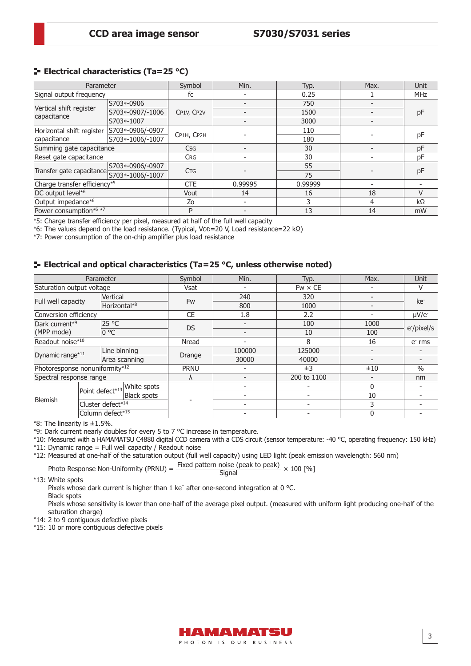# **E** Electrical characteristics (Ta=25 °C)

| Parameter                              |                    | Symbol     | Min.    | Typ.    | Max. | Unit          |
|----------------------------------------|--------------------|------------|---------|---------|------|---------------|
| Signal output frequency                |                    | fc         |         | 0.25    |      | <b>MHz</b>    |
|                                        | S703*-0906         |            |         | 750     |      |               |
| Vertical shift register<br>capacitance | S703*-0907/-1006   | CP1V, CP2V |         | 1500    |      | pF            |
|                                        | S703*-1007         |            |         | 3000    |      |               |
| Horizontal shift register              | S703*-0906/-0907   |            |         | 110     |      | pF            |
| capacitance                            | S703*-1006/-1007   | CP1H, CP2H |         | 180     |      |               |
| Summing gate capacitance               |                    | <b>Csg</b> |         | 30      |      | pF            |
| Reset gate capacitance                 |                    | <b>CRG</b> |         | 30      |      | pF            |
|                                        | S703*-0906/-0907   | <b>CTG</b> |         | 55      |      |               |
| Transfer gate capacitance              | S703 *- 1006/-1007 |            |         | 75      |      | pF            |
| Charge transfer efficiency*5           |                    | <b>CTE</b> | 0.99995 | 0.99999 |      |               |
| DC output level* <sup>6</sup>          |                    | Vout       | 14      | 16      | 18   | $\mathcal{U}$ |
| Output impedance*6                     |                    | Ζo         |         | 3       | 4    | kΩ            |
| Power consumption*6 *7                 |                    | P          |         | 13      | 14   | mW            |

\*5: Charge transfer efficiency per pixel, measured at half of the full well capacity

\*6: The values depend on the load resistance. (Typical, VOD=20 V, Load resistance=22 kΩ)

\*7: Power consumption of the on-chip amplifier plus load resistance

### **E** Electrical and optical characteristics (Ta=25 °C, unless otherwise noted)

| Parameter                      |  | Symbol            | Min.                        | Typ.        | Max.   | Unit           |                          |                          |
|--------------------------------|--|-------------------|-----------------------------|-------------|--------|----------------|--------------------------|--------------------------|
| Saturation output voltage      |  |                   |                             | Vsat        |        | $Fw \times CE$ | ۰                        |                          |
|                                |  | Vertical          |                             | <b>Fw</b>   | 240    | 320            |                          | ke <sup>-</sup>          |
| Full well capacity             |  | Horizontal*8      |                             |             | 800    | 1000           | $\overline{\phantom{a}}$ |                          |
| Conversion efficiency          |  |                   |                             | <b>CE</b>   | 1.8    | 2.2            | $\overline{\phantom{0}}$ | $\mu V/e^-$              |
| Dark current*9                 |  | 25 °C             |                             | <b>DS</b>   |        | 100            | 1000                     | e <sup>-</sup> /pixel/s  |
| (MPP mode)                     |  | 0 °C              |                             |             |        | 10             | 100                      |                          |
| Readout noise*10               |  | Nread             | ۰                           | 8           | 16     | e rms          |                          |                          |
| Dynamic range*11               |  | Line binning      |                             |             | 100000 | 125000         |                          |                          |
|                                |  |                   | Area scanning               | Drange      | 30000  | 40000          | $\overline{\phantom{a}}$ | $\overline{\phantom{0}}$ |
| Photoresponse nonuniformity*12 |  |                   |                             | <b>PRNU</b> |        | ±3             | ±10                      | $\%$                     |
| Spectral response range        |  |                   |                             | Λ           |        | 200 to 1100    | $\overline{\phantom{0}}$ | nm                       |
|                                |  |                   | Point defect*13 White spots |             |        |                | $\Omega$                 |                          |
| Blemish                        |  |                   | <b>Black spots</b>          |             |        |                | 10                       |                          |
|                                |  | Cluster defect*14 |                             |             |        |                | 3                        |                          |
|                                |  | Column defect*15  |                             |             |        |                | 0                        |                          |

\*8: The linearity is ±1.5%.

\*9: Dark current nearly doubles for every 5 to 7 °C increase in temperature.

\*10: Measured with a HAMAMATSU C4880 digital CCD camera with a CDS circuit (sensor temperature: -40 °C, operating frequency: 150 kHz) \*11: Dynamic range = Full well capacity / Readout noise

\*12: Measured at one-half of the saturation output (full well capacity) using LED light (peak emission wavelength: 560 nm)

Photo Response Non-Uniformity (PRNU) =  $\frac{\text{Fixed pattern noise (peak to peak)}}{\text{Signal}} \times 100 \, [ \% ]$ 

\*13: White spots

Pixels whose dark current is higher than 1 ke<sup>-</sup> after one-second integration at 0 °C.

Black spots Pixels whose sensitivity is lower than one-half of the average pixel output. (measured with uniform light producing one-half of the saturation charge)

\*14: 2 to 9 contiguous defective pixels

\*15: 10 or more contiguous defective pixels

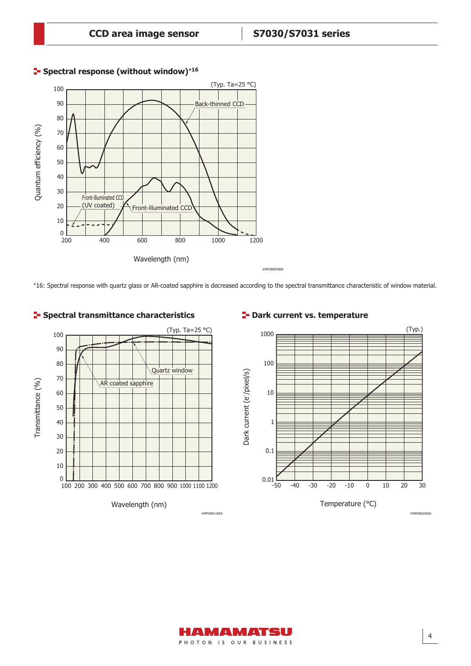

# **Spectral response (without window)**\***<sup>16</sup>**

\*16: Spectral response with quartz glass or AR-coated sapphire is decreased according to the spectral transmittance characteristic of window material.



# **P** Dark current vs. temperature



4

AMAMATISU PHOTON IS OUR BUSINESS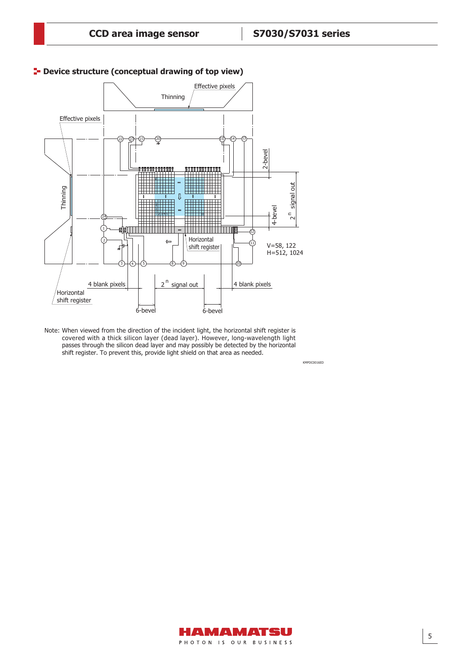KMPDC0016ED



# **P**- Device structure (conceptual drawing of top view)

Note: When viewed from the direction of the incident light, the horizontal shift register is covered with a thick silicon layer (dead layer). However, long-wavelength light passes through the silicon dead layer and may possibly be detected by the horizontal shift register. To prevent this, provide light shield on that area as needed.

> HAMAMATSU PHOTON IS OUR BUSINESS

5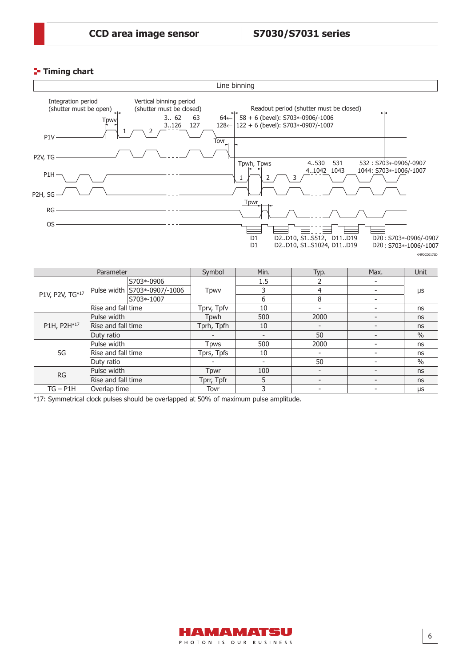# **Timing chart**



| P1H, P2H*17 | Rise and fall time | Tprh, Tpfh | 10  | $\overline{\phantom{a}}$ | ns   |
|-------------|--------------------|------------|-----|--------------------------|------|
|             | Duty ratio         |            |     | 50                       | $\%$ |
|             | Pulse width        | Tpws       | 500 | 2000                     | ns   |
| SG          | Rise and fall time | Tprs, Tpfs | 10  | $\overline{\phantom{0}}$ | ns   |
|             | Duty ratio         |            |     | 50                       | $\%$ |
| RG          | Pulse width        | Tpwr       | 100 | $\overline{\phantom{0}}$ | ns   |
|             | Rise and fall time | Tprr, Tpfr |     | $\overline{\phantom{0}}$ | ns   |
| $TG - P1H$  | Overlap time       | Tovr       |     | $\overline{\phantom{a}}$ | μs   |

\*17: Symmetrical clock pulses should be overlapped at 50% of maximum pulse amplitude.

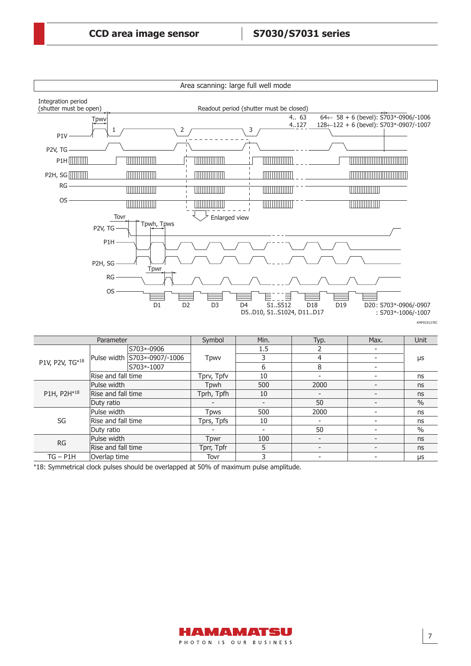

RG Pulse width Tpwr <sup>100</sup> - - ns

Rise and fall time Tprr, Tpfr 5 - Figure 3 - Trustee and fall time

TG – P1H Overlap time Tovr 3 - - μs \*18: Symmetrical clock pulses should be overlapped at 50% of maximum pulse amplitude.

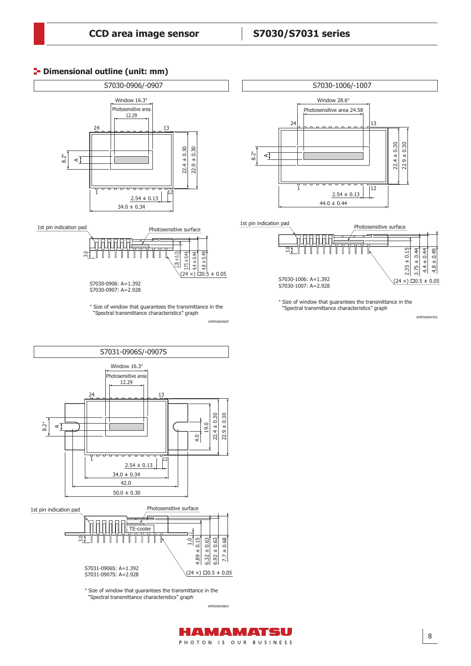# **P**- Dimensional outline (unit: mm)





D



\* Size of window that guarantees the transmittance in the "Spectral transmittance characteristics" graph

KMPDA0048EH

HAMAMATSU PHOTON IS OUR BUSINESS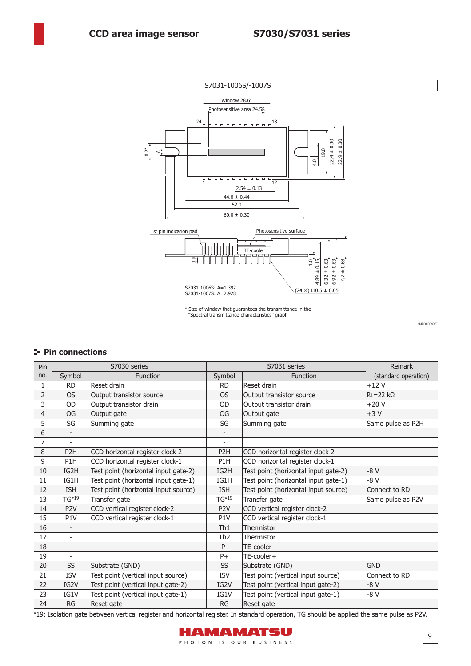

\* Size of window that guarantees the transmittance in the "Spectral transmittance characteristics" graph

KMPDA0049EI

# **Pin connections**

| Pin            |                          | S7030 series                         |                          | S7031 series                         | Remark               |
|----------------|--------------------------|--------------------------------------|--------------------------|--------------------------------------|----------------------|
| no.            | Symbol                   | <b>Function</b>                      | Symbol                   | <b>Function</b>                      | (standard operation) |
| 1              | <b>RD</b>                | Reset drain                          | <b>RD</b>                | Reset drain                          | $+12V$               |
| 2              | <b>OS</b>                | Output transistor source             | <b>OS</b>                | Output transistor source             | $RL = 22 k\Omega$    |
| 3              | <b>OD</b>                | Output transistor drain              | <b>OD</b>                | Output transistor drain              | $+20V$               |
| $\overline{4}$ | <b>OG</b>                | Output gate                          | OG                       | Output gate                          | $+3V$                |
| 5              | SG                       | Summing gate                         | SG                       | Summing gate                         | Same pulse as P2H    |
| 6              | $\overline{\phantom{a}}$ |                                      |                          |                                      |                      |
| 7              | $\overline{\phantom{a}}$ |                                      | $\overline{\phantom{a}}$ |                                      |                      |
| 8              | P <sub>2</sub> H         | CCD horizontal register clock-2      | P <sub>2</sub> H         | CCD horizontal register clock-2      |                      |
| 9              | P <sub>1</sub> H         | CCD horizontal register clock-1      | P1H                      | CCD horizontal register clock-1      |                      |
| 10             | IG2H                     | Test point (horizontal input gate-2) | IG2H                     | Test point (horizontal input gate-2) | $-8V$                |
| 11             | IG1H                     | Test point (horizontal input gate-1) | IG1H                     | Test point (horizontal input gate-1) | $-8V$                |
| 12             | <b>ISH</b>               | Test point (horizontal input source) | <b>ISH</b>               | Test point (horizontal input source) | Connect to RD        |
| 13             | $TG*19$                  | Transfer gate                        | $TG*19$                  | Transfer gate                        | Same pulse as P2V    |
| 14             | P <sub>2V</sub>          | CCD vertical register clock-2        | P <sub>2</sub> V         | CCD vertical register clock-2        |                      |
| 15             | P <sub>1</sub> V         | CCD vertical register clock-1        | P <sub>1</sub> V         | CCD vertical register clock-1        |                      |
| 16             | $\overline{\phantom{a}}$ |                                      | Th1                      | Thermistor                           |                      |
| 17             | $\overline{\phantom{a}}$ |                                      | Th <sub>2</sub>          | Thermistor                           |                      |
| 18             | $\overline{\phantom{a}}$ |                                      | P-                       | TE-cooler-                           |                      |
| 19             | $\overline{a}$           |                                      | $P+$                     | TE-cooler+                           |                      |
| 20             | <b>SS</b>                | Substrate (GND)                      | <b>SS</b>                | Substrate (GND)                      | <b>GND</b>           |
| 21             | <b>ISV</b>               | Test point (vertical input source)   | <b>ISV</b>               | Test point (vertical input source)   | Connect to RD        |
| 22             | IG2V                     | Test point (vertical input gate-2)   | IG2V                     | Test point (vertical input gate-2)   | $-8V$                |
| 23             | IG1V                     | Test point (vertical input gate-1)   | IG1V                     | Test point (vertical input gate-1)   | -8 V                 |
| 24             | RG                       | Reset gate                           | <b>RG</b>                | Reset gate                           |                      |

\*19: Isolation gate between vertical register and horizontal register. In standard operation, TG should be applied the same pulse as P2V.

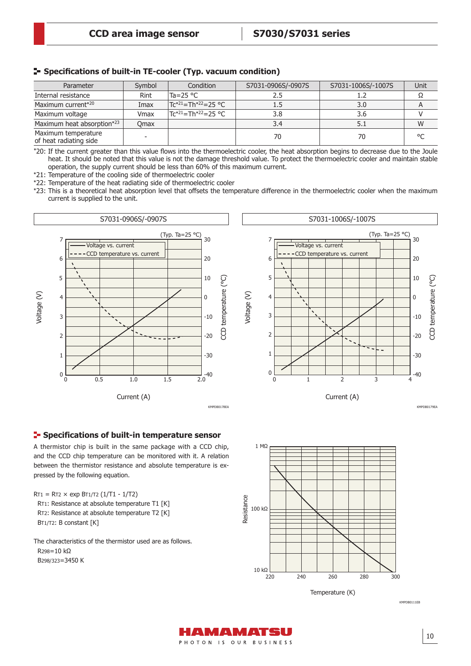|  |  |  |  | - Specifications of built-in TE-cooler (Typ. vacuum condition) |  |
|--|--|--|--|----------------------------------------------------------------|--|
|--|--|--|--|----------------------------------------------------------------|--|

| Parameter                                     | Symbol      | Condition                                   | S7031-0906S/-0907S | S7031-1006S/-1007S | Unit |
|-----------------------------------------------|-------------|---------------------------------------------|--------------------|--------------------|------|
| Internal resistance                           | Rint        | lTa=25 °C                                   |                    |                    |      |
| Maximum current*20                            | Imax        | $TC^{*21} = Th^{*22} = 25 °C$               | 1.5                | 3.0                |      |
| Maximum voltage                               | Vmax        | Tc* <sup>21</sup> =Th* <sup>22</sup> =25 °C | 3.8                | 3.6                |      |
| Maximum heat absorption*23                    | <b>Omax</b> |                                             | 3.4                | 5.1                | W    |
| Maximum temperature<br>of heat radiating side |             |                                             | 70                 | 70                 | °C   |

\*20: If the current greater than this value flows into the thermoelectric cooler, the heat absorption begins to decrease due to the Joule heat. It should be noted that this value is not the damage threshold value. To protect the thermoelectric cooler and maintain stable operation, the supply current should be less than 60% of this maximum current.

\*21: Temperature of the cooling side of thermoelectric cooler

\*22: Temperature of the heat radiating side of thermoelectric cooler

\*23: This is a theoretical heat absorption level that offsets the temperature difference in the thermoelectric cooler when the maximum current is supplied to the unit.



#### **Specifications of built-in temperature sensor**

A thermistor chip is built in the same package with a CCD chip, and the CCD chip temperature can be monitored with it. A relation between the thermistor resistance and absolute temperature is expressed by the following equation.

 $RT1 = RT2 \times exp BT1/T2 (1/T1 - 1/T2)$ RT1: Resistance at absolute temperature T1 [K] RT2: Resistance at absolute temperature T2 [K] BT1/T2: B constant [K]

The characteristics of the thermistor used are as follows. R298=10 kΩ B298/323=3450 K



KMPDB0111EB

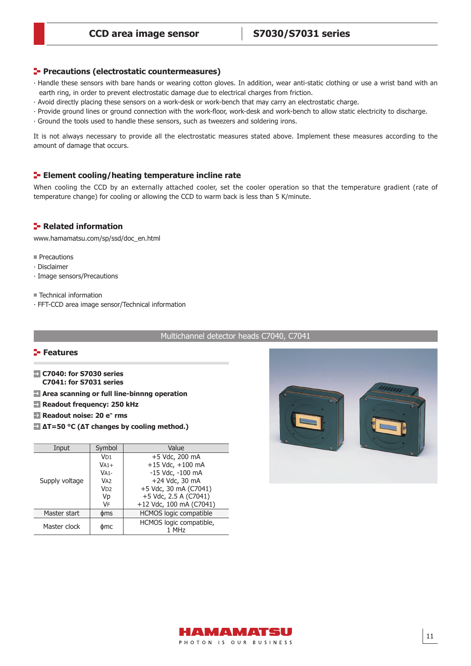#### **Precautions (electrostatic countermeasures)**

- ⸱ Handle these sensors with bare hands or wearing cotton gloves. In addition, wear anti-static clothing or use a wrist band with an earth ring, in order to prevent electrostatic damage due to electrical charges from friction.
- ⸱ Avoid directly placing these sensors on a work-desk or work-bench that may carry an electrostatic charge.
- · Provide ground lines or ground connection with the work-floor, work-desk and work-bench to allow static electricity to discharge.
- ⸱ Ground the tools used to handle these sensors, such as tweezers and soldering irons.

It is not always necessary to provide all the electrostatic measures stated above. Implement these measures according to the amount of damage that occurs.

#### **ELEMENT COOLING THE EXECUTE:** Element cooling/heating temperature incline rate

When cooling the CCD by an externally attached cooler, set the cooler operation so that the temperature gradient (rate of temperature change) for cooling or allowing the CCD to warm back is less than 5 K/minute.

#### **Related information**

[www.hamamatsu.com/sp/ssd/doc\\_en.html](http://www.hamamatsu.com/sp/ssd/doc_en.html)

- **Precautions**
- ∙ Disclaimer
- ∙ Image sensors/Precautions
- Technical information
- ∙ FFT-CCD area image sensor/Technical information

Multichannel detector heads C7040, C7041

#### **Features**

- **C7040: for S7030 series C7041: for S7031 series**
- **Area scanning or full line-binnng operation**
- **Readout frequency: 250 kHz**
- **Readout noise: 20 e<sup>-</sup> rms**
- **∆T=50 °C (∆T changes by cooling method.)**

| Input          | Symbol          | Value                         |
|----------------|-----------------|-------------------------------|
|                | VD1             | +5 Vdc, 200 mA                |
|                | $VA1+$          | $+15$ Vdc, $+100$ mA          |
|                | $VA1-$          | -15 Vdc, -100 mA              |
| Supply voltage | V <sub>A2</sub> | +24 Vdc, 30 mA                |
|                | VD <sub>2</sub> | +5 Vdc, 30 mA (C7041)         |
|                | Vp              | +5 Vdc, 2.5 A (C7041)         |
|                | VF              | +12 Vdc, 100 mA (C7041)       |
| Master start   | <b>dms</b>      | <b>HCMOS logic compatible</b> |
| Master clock   | фmс             | HCMOS logic compatible,       |
|                |                 | 1 MHz                         |